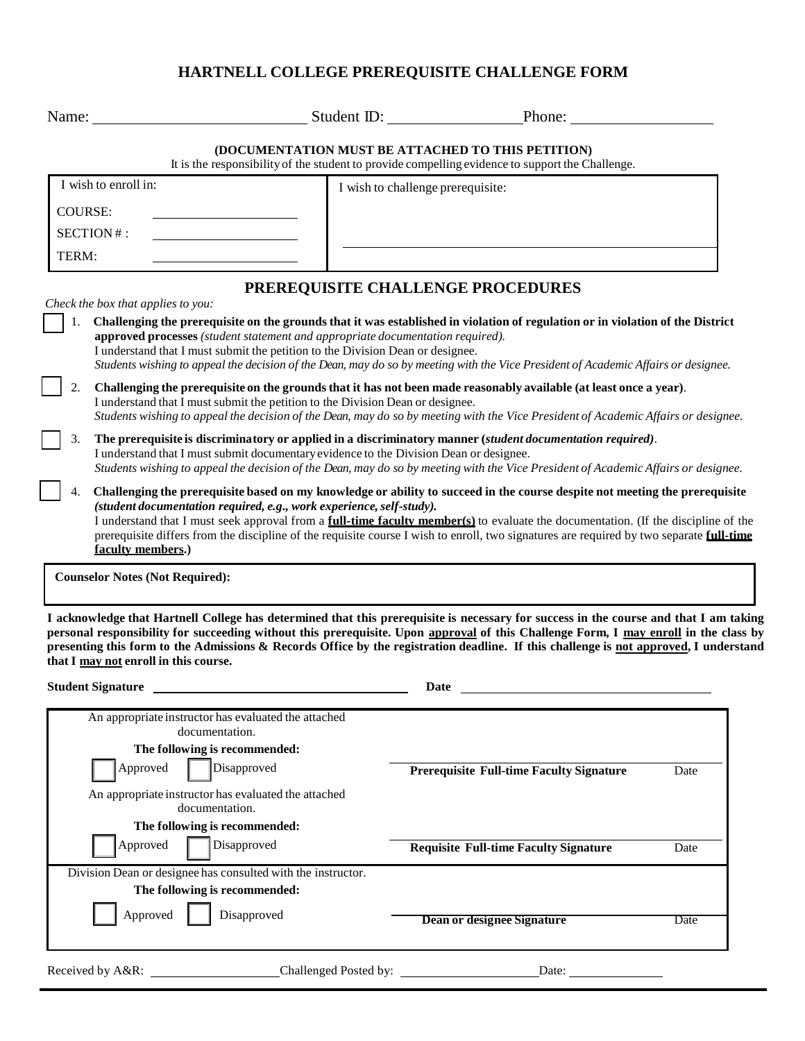# **HARTNELL COLLEGE PREREQUISITE CHALLENGE FORM**

|                                                                                                                                                                                                                                                                                                                                                                                                                                                                                       | Name: Student ID: Phone:                                                                                                                                                                                                                                                                                                                                                                                                                                                                                                                                                                                                                                                                                                                                                                                                                                                                                                                                                                                                                                                                                                                                                                              |      |
|---------------------------------------------------------------------------------------------------------------------------------------------------------------------------------------------------------------------------------------------------------------------------------------------------------------------------------------------------------------------------------------------------------------------------------------------------------------------------------------|-------------------------------------------------------------------------------------------------------------------------------------------------------------------------------------------------------------------------------------------------------------------------------------------------------------------------------------------------------------------------------------------------------------------------------------------------------------------------------------------------------------------------------------------------------------------------------------------------------------------------------------------------------------------------------------------------------------------------------------------------------------------------------------------------------------------------------------------------------------------------------------------------------------------------------------------------------------------------------------------------------------------------------------------------------------------------------------------------------------------------------------------------------------------------------------------------------|------|
|                                                                                                                                                                                                                                                                                                                                                                                                                                                                                       | (DOCUMENTATION MUST BE ATTACHED TO THIS PETITION)<br>It is the responsibility of the student to provide compelling evidence to support the Challenge.                                                                                                                                                                                                                                                                                                                                                                                                                                                                                                                                                                                                                                                                                                                                                                                                                                                                                                                                                                                                                                                 |      |
| I wish to enroll in:                                                                                                                                                                                                                                                                                                                                                                                                                                                                  | I wish to challenge prerequisite:                                                                                                                                                                                                                                                                                                                                                                                                                                                                                                                                                                                                                                                                                                                                                                                                                                                                                                                                                                                                                                                                                                                                                                     |      |
| <b>COURSE:</b>                                                                                                                                                                                                                                                                                                                                                                                                                                                                        |                                                                                                                                                                                                                                                                                                                                                                                                                                                                                                                                                                                                                                                                                                                                                                                                                                                                                                                                                                                                                                                                                                                                                                                                       |      |
| SECTION#:                                                                                                                                                                                                                                                                                                                                                                                                                                                                             |                                                                                                                                                                                                                                                                                                                                                                                                                                                                                                                                                                                                                                                                                                                                                                                                                                                                                                                                                                                                                                                                                                                                                                                                       |      |
| TERM:                                                                                                                                                                                                                                                                                                                                                                                                                                                                                 |                                                                                                                                                                                                                                                                                                                                                                                                                                                                                                                                                                                                                                                                                                                                                                                                                                                                                                                                                                                                                                                                                                                                                                                                       |      |
|                                                                                                                                                                                                                                                                                                                                                                                                                                                                                       | PREREQUISITE CHALLENGE PROCEDURES                                                                                                                                                                                                                                                                                                                                                                                                                                                                                                                                                                                                                                                                                                                                                                                                                                                                                                                                                                                                                                                                                                                                                                     |      |
| Check the box that applies to you:<br>approved processes (student statement and appropriate documentation required).<br>I understand that I must submit the petition to the Division Dean or designee.<br>I understand that I must submit the petition to the Division Dean or designee.<br>3.<br>I understand that I must submit documentary evidence to the Division Dean or designee.<br>(student documentation required, e.g., work experience, self-study).<br>faculty members.) | Challenging the prerequisite on the grounds that it was established in violation of regulation or in violation of the District<br>Students wishing to appeal the decision of the Dean, may do so by meeting with the Vice President of Academic Affairs or designee.<br>Challenging the prerequisite on the grounds that it has not been made reasonably available (at least once a year).<br>Students wishing to appeal the decision of the Dean, may do so by meeting with the Vice President of Academic Affairs or designee.<br>The prerequisite is discriminatory or applied in a discriminatory manner (student documentation required).<br>Students wishing to appeal the decision of the Dean, may do so by meeting with the Vice President of Academic Affairs or designee.<br>Challenging the prerequisite based on my knowledge or ability to succeed in the course despite not meeting the prerequisite<br>I understand that I must seek approval from a full-time faculty member(s) to evaluate the documentation. (If the discipline of the<br>prerequisite differs from the discipline of the requisite course I wish to enroll, two signatures are required by two separate full-time |      |
| <b>Counselor Notes (Not Required):</b>                                                                                                                                                                                                                                                                                                                                                                                                                                                |                                                                                                                                                                                                                                                                                                                                                                                                                                                                                                                                                                                                                                                                                                                                                                                                                                                                                                                                                                                                                                                                                                                                                                                                       |      |
| that I may not enroll in this course.<br><b>Student Signature</b>                                                                                                                                                                                                                                                                                                                                                                                                                     | I acknowledge that Hartnell College has determined that this prerequisite is necessary for success in the course and that I am taking<br>personal responsibility for succeeding without this prerequisite. Upon approval of this Challenge Form, I may enroll in the class by<br>presenting this form to the Admissions & Records Office by the registration deadline. If this challenge is not approved, I understand<br>Date                                                                                                                                                                                                                                                                                                                                                                                                                                                                                                                                                                                                                                                                                                                                                                        |      |
| An appropriate instructor has evaluated the attached                                                                                                                                                                                                                                                                                                                                                                                                                                  |                                                                                                                                                                                                                                                                                                                                                                                                                                                                                                                                                                                                                                                                                                                                                                                                                                                                                                                                                                                                                                                                                                                                                                                                       |      |
| documentation.<br>The following is recommended:                                                                                                                                                                                                                                                                                                                                                                                                                                       |                                                                                                                                                                                                                                                                                                                                                                                                                                                                                                                                                                                                                                                                                                                                                                                                                                                                                                                                                                                                                                                                                                                                                                                                       |      |
| Disapproved<br>Approved                                                                                                                                                                                                                                                                                                                                                                                                                                                               | <b>Prerequisite Full-time Faculty Signature</b>                                                                                                                                                                                                                                                                                                                                                                                                                                                                                                                                                                                                                                                                                                                                                                                                                                                                                                                                                                                                                                                                                                                                                       | Date |
| An appropriate instructor has evaluated the attached                                                                                                                                                                                                                                                                                                                                                                                                                                  |                                                                                                                                                                                                                                                                                                                                                                                                                                                                                                                                                                                                                                                                                                                                                                                                                                                                                                                                                                                                                                                                                                                                                                                                       |      |
| documentation.                                                                                                                                                                                                                                                                                                                                                                                                                                                                        |                                                                                                                                                                                                                                                                                                                                                                                                                                                                                                                                                                                                                                                                                                                                                                                                                                                                                                                                                                                                                                                                                                                                                                                                       |      |
| The following is recommended:                                                                                                                                                                                                                                                                                                                                                                                                                                                         |                                                                                                                                                                                                                                                                                                                                                                                                                                                                                                                                                                                                                                                                                                                                                                                                                                                                                                                                                                                                                                                                                                                                                                                                       |      |
| Disapproved<br>Approved                                                                                                                                                                                                                                                                                                                                                                                                                                                               | <b>Requisite Full-time Faculty Signature</b>                                                                                                                                                                                                                                                                                                                                                                                                                                                                                                                                                                                                                                                                                                                                                                                                                                                                                                                                                                                                                                                                                                                                                          | Date |
| Division Dean or designee has consulted with the instructor.                                                                                                                                                                                                                                                                                                                                                                                                                          |                                                                                                                                                                                                                                                                                                                                                                                                                                                                                                                                                                                                                                                                                                                                                                                                                                                                                                                                                                                                                                                                                                                                                                                                       |      |
| The following is recommended:                                                                                                                                                                                                                                                                                                                                                                                                                                                         |                                                                                                                                                                                                                                                                                                                                                                                                                                                                                                                                                                                                                                                                                                                                                                                                                                                                                                                                                                                                                                                                                                                                                                                                       |      |
| Approved<br>Disapproved                                                                                                                                                                                                                                                                                                                                                                                                                                                               | Dean or designee Signature                                                                                                                                                                                                                                                                                                                                                                                                                                                                                                                                                                                                                                                                                                                                                                                                                                                                                                                                                                                                                                                                                                                                                                            | Date |
|                                                                                                                                                                                                                                                                                                                                                                                                                                                                                       |                                                                                                                                                                                                                                                                                                                                                                                                                                                                                                                                                                                                                                                                                                                                                                                                                                                                                                                                                                                                                                                                                                                                                                                                       |      |

Received by A&R: Challenged Posted by: Date: